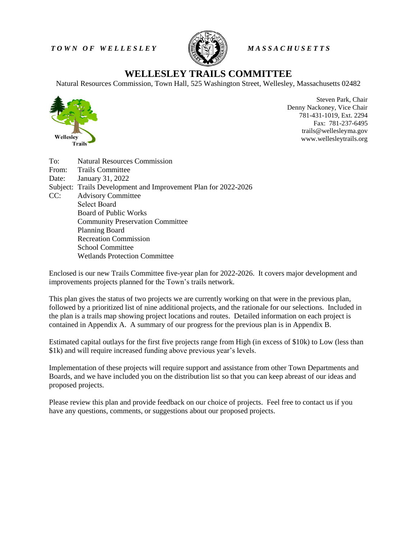*T O W N O F W E L L E S L E Y M A S S A C H U S E T T S*



# **WELLESLEY TRAILS COMMITTEE**

Natural Resources Commission, Town Hall, 525 Washington Street, Wellesley, Massachusetts 02482



Steven Park, Chair Denny Nackoney, Vice Chair 781-431-1019, Ext. 2294 Fax: 781-237-6495 trails@wellesleyma.gov www.wellesleytrails.org

| To:   | <b>Natural Resources Commission</b>                            |  |  |  |  |
|-------|----------------------------------------------------------------|--|--|--|--|
|       | From: Trails Committee                                         |  |  |  |  |
| Date: | January 31, 2022                                               |  |  |  |  |
|       | Subject: Trails Development and Improvement Plan for 2022-2026 |  |  |  |  |
| CC:   | <b>Advisory Committee</b>                                      |  |  |  |  |
|       | Select Board                                                   |  |  |  |  |
|       | <b>Board of Public Works</b>                                   |  |  |  |  |
|       | <b>Community Preservation Committee</b>                        |  |  |  |  |
|       | <b>Planning Board</b>                                          |  |  |  |  |
|       | <b>Recreation Commission</b>                                   |  |  |  |  |
|       | School Committee                                               |  |  |  |  |
|       | Wetlands Protection Committee                                  |  |  |  |  |

Enclosed is our new Trails Committee five-year plan for 2022-2026. It covers major development and improvements projects planned for the Town's trails network.

This plan gives the status of two projects we are currently working on that were in the previous plan, followed by a prioritized list of nine additional projects, and the rationale for our selections. Included in the plan is a trails map showing project locations and routes. Detailed information on each project is contained in Appendix A. A summary of our progress for the previous plan is in Appendix B.

Estimated capital outlays for the first five projects range from High (in excess of \$10k) to Low (less than \$1k) and will require increased funding above previous year's levels.

Implementation of these projects will require support and assistance from other Town Departments and Boards, and we have included you on the distribution list so that you can keep abreast of our ideas and proposed projects.

Please review this plan and provide feedback on our choice of projects. Feel free to contact us if you have any questions, comments, or suggestions about our proposed projects.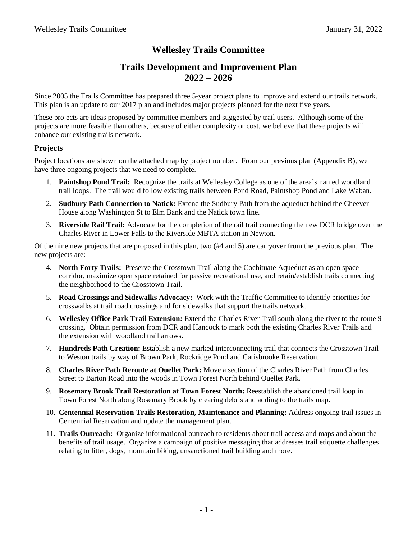# **Wellesley Trails Committee**

# **Trails Development and Improvement Plan 2022 – 2026**

Since 2005 the Trails Committee has prepared three 5-year project plans to improve and extend our trails network. This plan is an update to our 2017 plan and includes major projects planned for the next five years.

These projects are ideas proposed by committee members and suggested by trail users. Although some of the projects are more feasible than others, because of either complexity or cost, we believe that these projects will enhance our existing trails network.

# **Projects**

Project locations are shown on the attached map by project number. From our previous plan (Appendix B), we have three ongoing projects that we need to complete.

- 1. **Paintshop Pond Trail:** Recognize the trails at Wellesley College as one of the area's named woodland trail loops. The trail would follow existing trails between Pond Road, Paintshop Pond and Lake Waban.
- 2. **Sudbury Path Connection to Natick:** Extend the Sudbury Path from the aqueduct behind the Cheever House along Washington St to Elm Bank and the Natick town line.
- 3. **Riverside Rail Trail:** Advocate for the completion of the rail trail connecting the new DCR bridge over the Charles River in Lower Falls to the Riverside MBTA station in Newton.

Of the nine new projects that are proposed in this plan, two (#4 and 5) are carryover from the previous plan. The new projects are:

- 4. **North Forty Trails:** Preserve the Crosstown Trail along the Cochituate Aqueduct as an open space corridor, maximize open space retained for passive recreational use, and retain/establish trails connecting the neighborhood to the Crosstown Trail.
- 5. **Road Crossings and Sidewalks Advocacy:** Work with the Traffic Committee to identify priorities for crosswalks at trail road crossings and for sidewalks that support the trails network.
- 6. **Wellesley Office Park Trail Extension:** Extend the Charles River Trail south along the river to the route 9 crossing. Obtain permission from DCR and Hancock to mark both the existing Charles River Trails and the extension with woodland trail arrows.
- 7. **Hundreds Path Creation:** Establish a new marked interconnecting trail that connects the Crosstown Trail to Weston trails by way of Brown Park, Rockridge Pond and Carisbrooke Reservation.
- 8. **Charles River Path Reroute at Ouellet Park:** Move a section of the Charles River Path from Charles Street to Barton Road into the woods in Town Forest North behind Ouellet Park.
- 9. **Rosemary Brook Trail Restoration at Town Forest North:** Reestablish the abandoned trail loop in Town Forest North along Rosemary Brook by clearing debris and adding to the trails map.
- 10. **Centennial Reservation Trails Restoration, Maintenance and Planning:** Address ongoing trail issues in Centennial Reservation and update the management plan.
- 11. **Trails Outreach:** Organize informational outreach to residents about trail access and maps and about the benefits of trail usage. Organize a campaign of positive messaging that addresses trail etiquette challenges relating to litter, dogs, mountain biking, unsanctioned trail building and more.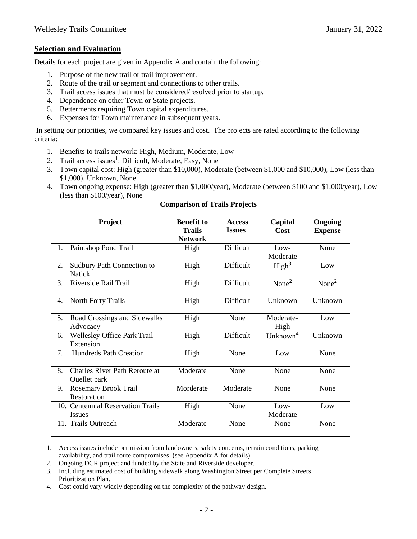# **Selection and Evaluation**

Details for each project are given in Appendix A and contain the following:

- 1. Purpose of the new trail or trail improvement.
- 2. Route of the trail or segment and connections to other trails.
- 3. Trail access issues that must be considered/resolved prior to startup.
- 4. Dependence on other Town or State projects.
- 5. Betterments requiring Town capital expenditures.
- 6. Expenses for Town maintenance in subsequent years.

In setting our priorities, we compared key issues and cost. The projects are rated according to the following criteria:

- 1. Benefits to trails network: High, Medium, Moderate, Low
- 2. Trail access issues<sup>1</sup>: Difficult, Moderate, Easy, None
- 3. Town capital cost: High (greater than \$10,000), Moderate (between \$1,000 and \$10,000), Low (less than \$1,000), Unknown, None
- 4. Town ongoing expense: High (greater than \$1,000/year), Moderate (between \$100 and \$1,000/year), Low (less than \$100/year), None

|    | Project                                              | <b>Benefit to</b><br><b>Trails</b> | <b>Access</b><br>Issues <sup>1</sup> | Capital<br>Cost      | Ongoing<br><b>Expense</b> |
|----|------------------------------------------------------|------------------------------------|--------------------------------------|----------------------|---------------------------|
|    |                                                      | <b>Network</b>                     |                                      |                      |                           |
| 1. | Paintshop Pond Trail                                 | High                               | Difficult                            | $Low-$               | None                      |
|    |                                                      |                                    |                                      | Moderate             |                           |
| 2. | Sudbury Path Connection to                           | High                               | Difficult                            | High <sup>3</sup>    | Low                       |
|    | <b>Natick</b>                                        |                                    |                                      |                      |                           |
| 3. | Riverside Rail Trail                                 | High                               | Difficult                            | None <sup>2</sup>    | None <sup>2</sup>         |
| 4. | <b>North Forty Trails</b>                            | High                               | Difficult                            | Unknown              | Unknown                   |
| 5. | Road Crossings and Sidewalks<br>Advocacy             | High                               | None                                 | Moderate-<br>High    | Low                       |
| 6. | <b>Wellesley Office Park Trail</b><br>Extension      | High                               | Difficult                            | Unknown <sup>4</sup> | Unknown                   |
| 7. | <b>Hundreds Path Creation</b>                        | High                               | None                                 | Low                  | None                      |
| 8. | <b>Charles River Path Reroute at</b><br>Ouellet park | Moderate                           | None                                 | None                 | None                      |
| 9. | <b>Rosemary Brook Trail</b>                          | Morderate                          | Moderate                             | None                 | None                      |
|    | Restoration                                          |                                    |                                      |                      |                           |
|    | 10. Centennial Reservation Trails                    | High                               | None                                 | Low-                 | Low                       |
|    | <b>Issues</b>                                        |                                    |                                      | Moderate             |                           |
|    | 11. Trails Outreach                                  | Moderate                           | None                                 | None                 | None                      |

#### **Comparison of Trails Projects**

- 2. Ongoing DCR project and funded by the State and Riverside developer.
- 3. Including estimated cost of building sidewalk along Washington Street per Complete Streets Prioritization Plan.
- 4. Cost could vary widely depending on the complexity of the pathway design.

<sup>1.</sup> Access issues include permission from landowners, safety concerns, terrain conditions, parking availability, and trail route compromises (see Appendix A for details).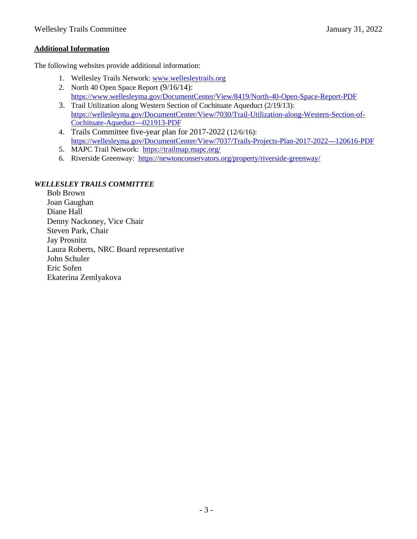# **Additional Information**

The following websites provide additional information:

- 1. Wellesley Trails Network: [www.wellesleytrails.org](http://www.wellesleytrails.org/)
- 2. North 40 Open Space Report (9/16/14): <https://www.wellesleyma.gov/DocumentCenter/View/8419/North-40-Open-Space-Report-PDF>
- 3. Trail Utilization along Western Section of Cochituate Aqueduct (2/19/13): [https://wellesleyma.gov/DocumentCenter/View/7030/Trail-Utilization-along-Western-Section-of-](https://wellesleyma.gov/DocumentCenter/View/7030/Trail-Utilization-along-Western-Section-of-Cochituate-Aqueduct---021913-PDF)[Cochituate-Aqueduct---021913-PDF](https://wellesleyma.gov/DocumentCenter/View/7030/Trail-Utilization-along-Western-Section-of-Cochituate-Aqueduct---021913-PDF)
- 4. Trails Committee five-year plan for 2017-2022 (12/6/16): <https://wellesleyma.gov/DocumentCenter/View/7037/Trails-Projects-Plan-2017-2022---120616-PDF>
- 5. MAPC Trail Network: <https://trailmap.mapc.org/>
- 6. Riverside Greenway: <https://newtonconservators.org/property/riverside-greenway/>

# *WELLESLEY TRAILS COMMITTEE*

Bob Brown Joan Gaughan Diane Hall Denny Nackoney, Vice Chair Steven Park, Chair Jay Prosnitz Laura Roberts, NRC Board representative John Schuler Eric Sofen Ekaterina Zemlyakova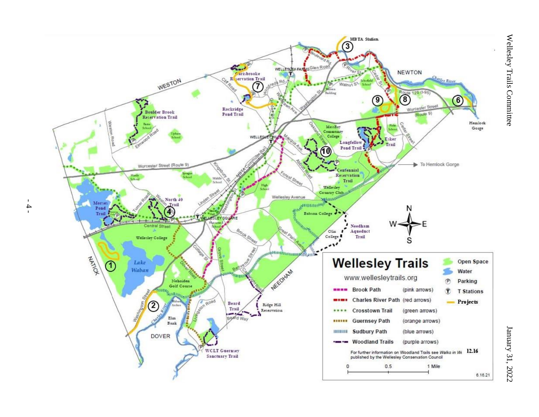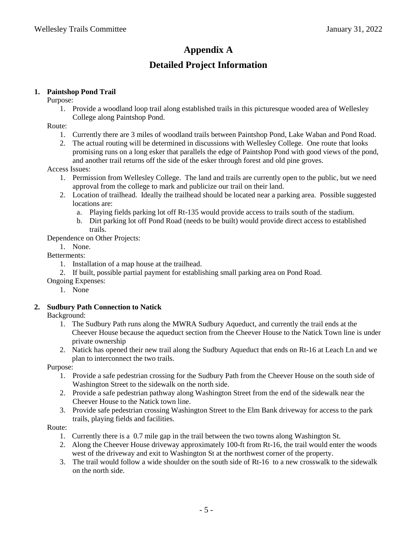# **Appendix A Detailed Project Information**

# **1. Paintshop Pond Trail**

Purpose:

1. Provide a woodland loop trail along established trails in this picturesque wooded area of Wellesley College along Paintshop Pond.

Route:

- 1. Currently there are 3 miles of woodland trails between Paintshop Pond, Lake Waban and Pond Road.
- 2. The actual routing will be determined in discussions with Wellesley College. One route that looks promising runs on a long esker that parallels the edge of Paintshop Pond with good views of the pond, and another trail returns off the side of the esker through forest and old pine groves.

Access Issues:

- 1. Permission from Wellesley College. The land and trails are currently open to the public, but we need approval from the college to mark and publicize our trail on their land.
- 2. Location of trailhead. Ideally the trailhead should be located near a parking area. Possible suggested locations are:
	- a. Playing fields parking lot off Rt-135 would provide access to trails south of the stadium.
	- b. Dirt parking lot off Pond Road (needs to be built) would provide direct access to established trails.

Dependence on Other Projects:

1. None.

Betterments:

- 1. Installation of a map house at the trailhead.
- 2. If built, possible partial payment for establishing small parking area on Pond Road.

Ongoing Expenses:

1. None

# **2. Sudbury Path Connection to Natick**

Background:

- 1. The Sudbury Path runs along the MWRA Sudbury Aqueduct, and currently the trail ends at the Cheever House because the aqueduct section from the Cheever House to the Natick Town line is under private ownership
- 2. Natick has opened their new trail along the Sudbury Aqueduct that ends on Rt-16 at Leach Ln and we plan to interconnect the two trails.

Purpose:

- 1. Provide a safe pedestrian crossing for the Sudbury Path from the Cheever House on the south side of Washington Street to the sidewalk on the north side.
- 2. Provide a safe pedestrian pathway along Washington Street from the end of the sidewalk near the Cheever House to the Natick town line.
- 3. Provide safe pedestrian crossing Washington Street to the Elm Bank driveway for access to the park trails, playing fields and facilities.

Route:

- 1. Currently there is a 0.7 mile gap in the trail between the two towns along Washington St.
- 2. Along the Cheever House driveway approximately 100-ft from Rt-16, the trail would enter the woods west of the driveway and exit to Washington St at the northwest corner of the property.
- 3. The trail would follow a wide shoulder on the south side of Rt-16 to a new crosswalk to the sidewalk on the north side.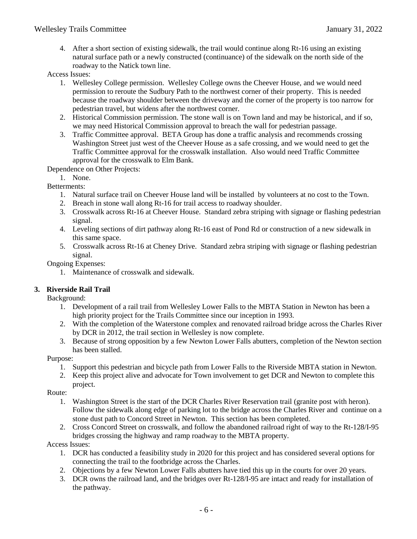4. After a short section of existing sidewalk, the trail would continue along Rt-16 using an existing natural surface path or a newly constructed (continuance) of the sidewalk on the north side of the roadway to the Natick town line.

Access Issues:

- 1. Wellesley College permission. Wellesley College owns the Cheever House, and we would need permission to reroute the Sudbury Path to the northwest corner of their property. This is needed because the roadway shoulder between the driveway and the corner of the property is too narrow for pedestrian travel, but widens after the northwest corner.
- 2. Historical Commission permission. The stone wall is on Town land and may be historical, and if so, we may need Historical Commission approval to breach the wall for pedestrian passage.
- 3. Traffic Committee approval. BETA Group has done a traffic analysis and recommends crossing Washington Street just west of the Cheever House as a safe crossing, and we would need to get the Traffic Committee approval for the crosswalk installation. Also would need Traffic Committee approval for the crosswalk to Elm Bank.

Dependence on Other Projects:

1. None.

Betterments:

- 1. Natural surface trail on Cheever House land will be installed by volunteers at no cost to the Town.
- 2. Breach in stone wall along Rt-16 for trail access to roadway shoulder.
- 3. Crosswalk across Rt-16 at Cheever House. Standard zebra striping with signage or flashing pedestrian signal.
- 4. Leveling sections of dirt pathway along Rt-16 east of Pond Rd or construction of a new sidewalk in this same space.
- 5. Crosswalk across Rt-16 at Cheney Drive. Standard zebra striping with signage or flashing pedestrian signal.

Ongoing Expenses:

1. Maintenance of crosswalk and sidewalk.

# **3. Riverside Rail Trail**

Background:

- 1. Development of a rail trail from Wellesley Lower Falls to the MBTA Station in Newton has been a high priority project for the Trails Committee since our inception in 1993.
- 2. With the completion of the Waterstone complex and renovated railroad bridge across the Charles River by DCR in 2012, the trail section in Wellesley is now complete.
- 3. Because of strong opposition by a few Newton Lower Falls abutters, completion of the Newton section has been stalled.

Purpose:

- 1. Support this pedestrian and bicycle path from Lower Falls to the Riverside MBTA station in Newton.
- 2. Keep this project alive and advocate for Town involvement to get DCR and Newton to complete this project.

Route:

- 1. Washington Street is the start of the DCR Charles River Reservation trail (granite post with heron). Follow the sidewalk along edge of parking lot to the bridge across the Charles River and continue on a stone dust path to Concord Street in Newton. This section has been completed.
- 2. Cross Concord Street on crosswalk, and follow the abandoned railroad right of way to the Rt-128/I-95 bridges crossing the highway and ramp roadway to the MBTA property.

Access Issues:

- 1. DCR has conducted a feasibility study in 2020 for this project and has considered several options for connecting the trail to the footbridge across the Charles.
- 2. Objections by a few Newton Lower Falls abutters have tied this up in the courts for over 20 years.
- 3. DCR owns the railroad land, and the bridges over Rt-128/I-95 are intact and ready for installation of the pathway.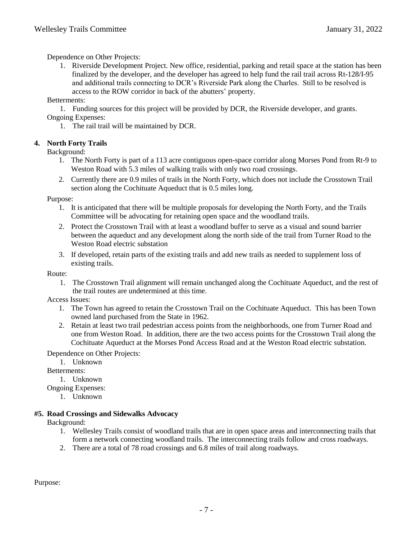Dependence on Other Projects:

1. Riverside Development Project. New office, residential, parking and retail space at the station has been finalized by the developer, and the developer has agreed to help fund the rail trail across Rt-128/I-95 and additional trails connecting to DCR's Riverside Park along the Charles. Still to be resolved is access to the ROW corridor in back of the abutters' property.

Betterments:

1. Funding sources for this project will be provided by DCR, the Riverside developer, and grants. Ongoing Expenses:

1. The rail trail will be maintained by DCR.

# **4. North Forty Trails**

Background:

- 1. The North Forty is part of a 113 acre contiguous open-space corridor along Morses Pond from Rt-9 to Weston Road with 5.3 miles of walking trails with only two road crossings.
- 2. Currently there are 0.9 miles of trails in the North Forty, which does not include the Crosstown Trail section along the Cochituate Aqueduct that is 0.5 miles long.

Purpose:

- 1. It is anticipated that there will be multiple proposals for developing the North Forty, and the Trails Committee will be advocating for retaining open space and the woodland trails.
- 2. Protect the Crosstown Trail with at least a woodland buffer to serve as a visual and sound barrier between the aqueduct and any development along the north side of the trail from Turner Road to the Weston Road electric substation
- 3. If developed, retain parts of the existing trails and add new trails as needed to supplement loss of existing trails.

Route:

1. The Crosstown Trail alignment will remain unchanged along the Cochituate Aqueduct, and the rest of the trail routes are undetermined at this time.

Access Issues:

- 1. The Town has agreed to retain the Crosstown Trail on the Cochituate Aqueduct. This has been Town owned land purchased from the State in 1962.
- 2. Retain at least two trail pedestrian access points from the neighborhoods, one from Turner Road and one from Weston Road. In addition, there are the two access points for the Crosstown Trail along the Cochituate Aqueduct at the Morses Pond Access Road and at the Weston Road electric substation.

Dependence on Other Projects:

1. Unknown

Betterments:

1. Unknown

Ongoing Expenses:

1. Unknown

# **#5. Road Crossings and Sidewalks Advocacy**

Background:

- 1. Wellesley Trails consist of woodland trails that are in open space areas and interconnecting trails that form a network connecting woodland trails. The interconnecting trails follow and cross roadways.
- 2. There are a total of 78 road crossings and 6.8 miles of trail along roadways.

Purpose: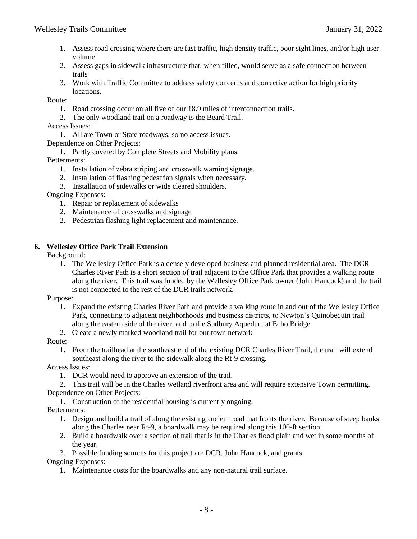- 1. Assess road crossing where there are fast traffic, high density traffic, poor sight lines, and/or high user volume.
- 2. Assess gaps in sidewalk infrastructure that, when filled, would serve as a safe connection between trails
- 3. Work with Traffic Committee to address safety concerns and corrective action for high priority locations.

Route:

- 1. Road crossing occur on all five of our 18.9 miles of interconnection trails.
- 2. The only woodland trail on a roadway is the Beard Trail.
- Access Issues:

1. All are Town or State roadways, so no access issues.

Dependence on Other Projects:

1. Partly covered by Complete Streets and Mobility plans.

Betterments:

- 1. Installation of zebra striping and crosswalk warning signage.
- 2. Installation of flashing pedestrian signals when necessary.
- 3. Installation of sidewalks or wide cleared shoulders.

Ongoing Expenses:

- 1. Repair or replacement of sidewalks
- 2. Maintenance of crosswalks and signage
- 2. Pedestrian flashing light replacement and maintenance.

#### **6. Wellesley Office Park Trail Extension**

Background:

1. The Wellesley Office Park is a densely developed business and planned residential area. The DCR Charles River Path is a short section of trail adjacent to the Office Park that provides a walking route along the river. This trail was funded by the Wellesley Office Park owner (John Hancock) and the trail is not connected to the rest of the DCR trails network.

Purpose:

- 1. Expand the existing Charles River Path and provide a walking route in and out of the Wellesley Office Park, connecting to adjacent neighborhoods and business districts, to Newton's Quinobequin trail along the eastern side of the river, and to the Sudbury Aqueduct at Echo Bridge.
- 2. Create a newly marked woodland trail for our town network

Route:

1. From the trailhead at the southeast end of the existing DCR Charles River Trail, the trail will extend southeast along the river to the sidewalk along the Rt-9 crossing.

Access Issues:

- 1. DCR would need to approve an extension of the trail.
- 2. This trail will be in the Charles wetland riverfront area and will require extensive Town permitting. Dependence on Other Projects:

1. Construction of the residential housing is currently ongoing,

Betterments:

- 1. Design and build a trail of along the existing ancient road that fronts the river. Because of steep banks along the Charles near Rt-9, a boardwalk may be required along this 100-ft section.
- 2. Build a boardwalk over a section of trail that is in the Charles flood plain and wet in some months of the year.
- 3. Possible funding sources for this project are DCR, John Hancock, and grants.

Ongoing Expenses:

1. Maintenance costs for the boardwalks and any non-natural trail surface.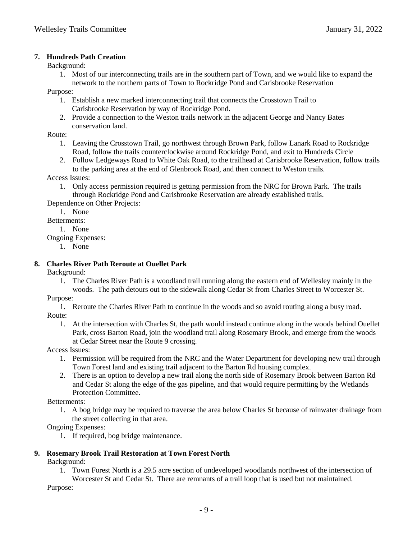### **7. Hundreds Path Creation**

Background:

1. Most of our interconnecting trails are in the southern part of Town, and we would like to expand the network to the northern parts of Town to Rockridge Pond and Carisbrooke Reservation

Purpose:

- 1. Establish a new marked interconnecting trail that connects the Crosstown Trail to Carisbrooke Reservation by way of Rockridge Pond.
- 2. Provide a connection to the Weston trails network in the adjacent George and Nancy Bates conservation land.

Route:

- 1. Leaving the Crosstown Trail, go northwest through Brown Park, follow Lanark Road to Rockridge Road, follow the trails counterclockwise around Rockridge Pond, and exit to Hundreds Circle
- 2. Follow Ledgeways Road to White Oak Road, to the trailhead at Carisbrooke Reservation, follow trails to the parking area at the end of Glenbrook Road, and then connect to Weston trails.

Access Issues:

1. Only access permission required is getting permission from the NRC for Brown Park. The trails through Rockridge Pond and Carisbrooke Reservation are already established trails.

Dependence on Other Projects:

1. None

Betterments:

1. None

Ongoing Expenses:

1. None

# **8. Charles River Path Reroute at Ouellet Park**

Background:

1. The Charles River Path is a woodland trail running along the eastern end of Wellesley mainly in the woods. The path detours out to the sidewalk along Cedar St from Charles Street to Worcester St.

Purpose:

- 1. Reroute the Charles River Path to continue in the woods and so avoid routing along a busy road. Route:
	- 1. At the intersection with Charles St, the path would instead continue along in the woods behind Ouellet Park, cross Barton Road, join the woodland trail along Rosemary Brook, and emerge from the woods at Cedar Street near the Route 9 crossing.

Access Issues:

- 1. Permission will be required from the NRC and the Water Department for developing new trail through Town Forest land and existing trail adjacent to the Barton Rd housing complex.
- 2. There is an option to develop a new trail along the north side of Rosemary Brook between Barton Rd and Cedar St along the edge of the gas pipeline, and that would require permitting by the Wetlands Protection Committee.

Betterments:

1. A bog bridge may be required to traverse the area below Charles St because of rainwater drainage from the street collecting in that area.

Ongoing Expenses:

1. If required, bog bridge maintenance.

# **9. Rosemary Brook Trail Restoration at Town Forest North**

Background:

1. Town Forest North is a 29.5 acre section of undeveloped woodlands northwest of the intersection of Worcester St and Cedar St. There are remnants of a trail loop that is used but not maintained.

Purpose: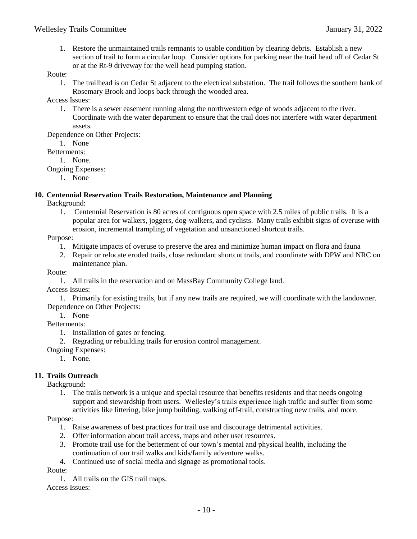1. Restore the unmaintained trails remnants to usable condition by clearing debris. Establish a new section of trail to form a circular loop. Consider options for parking near the trail head off of Cedar St or at the Rt-9 driveway for the well head pumping station.

# Route:

1. The trailhead is on Cedar St adjacent to the electrical substation. The trail follows the southern bank of Rosemary Brook and loops back through the wooded area.

Access Issues:

1. There is a sewer easement running along the northwestern edge of woods adjacent to the river. Coordinate with the water department to ensure that the trail does not interfere with water department assets.

Dependence on Other Projects:

1. None

Betterments:

1. None.

#### Ongoing Expenses:

1. None

# **10. Centennial Reservation Trails Restoration, Maintenance and Planning**

Background:

1. Centennial Reservation is 80 acres of contiguous open space with 2.5 miles of public trails. It is a popular area for walkers, joggers, dog-walkers, and cyclists. Many trails exhibit signs of overuse with erosion, incremental trampling of vegetation and unsanctioned shortcut trails.

#### Purpose:

- 1. Mitigate impacts of overuse to preserve the area and minimize human impact on flora and fauna
- 2. Repair or relocate eroded trails, close redundant shortcut trails, and coordinate with DPW and NRC on maintenance plan.

#### Route:

1. All trails in the reservation and on MassBay Community College land.

Access Issues:

1. Primarily for existing trails, but if any new trails are required, we will coordinate with the landowner. Dependence on Other Projects:

1. None

Betterments:

- 1. Installation of gates or fencing.
- 2. Regrading or rebuilding trails for erosion control management.

Ongoing Expenses:

1. None.

# **11. Trails Outreach**

Background:

1. The trails network is a unique and special resource that benefits residents and that needs ongoing support and stewardship from users. Wellesley's trails experience high traffic and suffer from some activities like littering, bike jump building, walking off-trail, constructing new trails, and more.

# Purpose:

- 1. Raise awareness of best practices for trail use and discourage detrimental activities.
- 2. Offer information about trail access, maps and other user resources.
- 3. Promote trail use for the betterment of our town's mental and physical health, including the continuation of our trail walks and kids/family adventure walks.
- 4. Continued use of social media and signage as promotional tools.

Route:

1. All trails on the GIS trail maps.

Access Issues: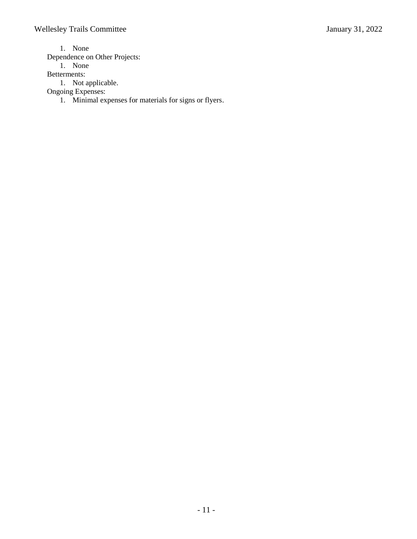1. None

Dependence on Other Projects:

1. None

Betterments:

1. Not applicable.

Ongoing Expenses:

1. Minimal expenses for materials for signs or flyers.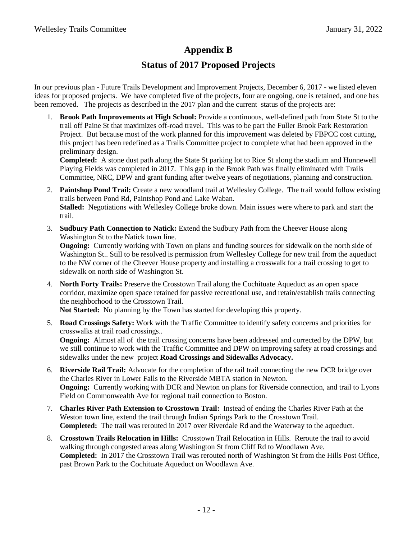# **Appendix B**

# **Status of 2017 Proposed Projects**

In our previous plan - Future Trails Development and Improvement Projects, December 6, 2017 - we listed eleven ideas for proposed projects. We have completed five of the projects, four are ongoing, one is retained, and one has been removed. The projects as described in the 2017 plan and the current status of the projects are:

1. **Brook Path Improvements at High School:** Provide a continuous, well-defined path from State St to the trail off Paine St that maximizes off-road travel. This was to be part the Fuller Brook Park Restoration Project. But because most of the work planned for this improvement was deleted by FBPCC cost cutting, this project has been redefined as a Trails Committee project to complete what had been approved in the preliminary design.

**Completed:** A stone dust path along the State St parking lot to Rice St along the stadium and Hunnewell Playing Fields was completed in 2017. This gap in the Brook Path was finally eliminated with Trails Committee, NRC, DPW and grant funding after twelve years of negotiations, planning and construction.

- 2. **Paintshop Pond Trail:** Create a new woodland trail at Wellesley College. The trail would follow existing trails between Pond Rd, Paintshop Pond and Lake Waban. **Stalled:** Negotiations with Wellesley College broke down. Main issues were where to park and start the trail.
- 3. **Sudbury Path Connection to Natick:** Extend the Sudbury Path from the Cheever House along Washington St to the Natick town line.

**Ongoing:** Currently working with Town on plans and funding sources for sidewalk on the north side of Washington St.. Still to be resolved is permission from Wellesley College for new trail from the aqueduct to the NW corner of the Cheever House property and installing a crosswalk for a trail crossing to get to sidewalk on north side of Washington St.

4. **North Forty Trails:** Preserve the Crosstown Trail along the Cochituate Aqueduct as an open space corridor, maximize open space retained for passive recreational use, and retain/establish trails connecting the neighborhood to the Crosstown Trail.

**Not Started:** No planning by the Town has started for developing this property.

5. **Road Crossings Safety:** Work with the Traffic Committee to identify safety concerns and priorities for crosswalks at trail road crossings..

**Ongoing:** Almost all of the trail crossing concerns have been addressed and corrected by the DPW, but we still continue to work with the Traffic Committee and DPW on improving safety at road crossings and sidewalks under the new project **Road Crossings and Sidewalks Advocacy.**

- 6. **Riverside Rail Trail:** Advocate for the completion of the rail trail connecting the new DCR bridge over the Charles River in Lower Falls to the Riverside MBTA station in Newton. **Ongoing:** Currently working with DCR and Newton on plans for Riverside connection, and trail to Lyons Field on Commonwealth Ave for regional trail connection to Boston.
- 7. **Charles River Path Extension to Crosstown Trail:** Instead of ending the Charles River Path at the Weston town line, extend the trail through Indian Springs Park to the Crosstown Trail. **Completed:** The trail was rerouted in 2017 over Riverdale Rd and the Waterway to the aqueduct.
- 8. **Crosstown Trails Relocation in Hills:** Crosstown Trail Relocation in Hills. Reroute the trail to avoid walking through congested areas along Washington St from Cliff Rd to Woodlawn Ave. **Completed:** In 2017 the Crosstown Trail was rerouted north of Washington St from the Hills Post Office, past Brown Park to the Cochituate Aqueduct on Woodlawn Ave.